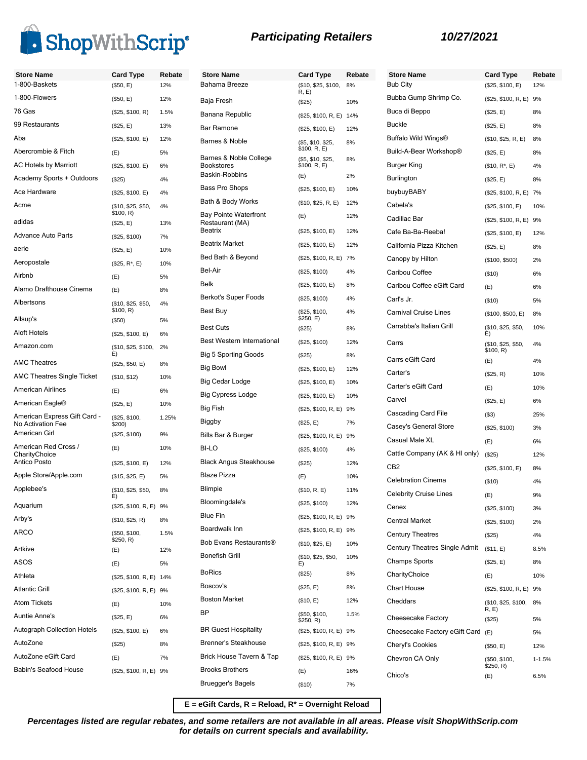

| <b>Participating Retailers</b> |  |
|--------------------------------|--|
|--------------------------------|--|

| <b>Store Name</b><br>1-800-Baskets                | <b>Card Type</b><br>(\$50, E) | Rebate<br>12% | <b>Store Name</b><br>Bahama Breeze          | <b>Card Type</b><br>(\$10, \$25, \$100, | Rebate<br>8% |
|---------------------------------------------------|-------------------------------|---------------|---------------------------------------------|-----------------------------------------|--------------|
| 1-800-Flowers                                     | (\$50, E)                     | 12%           | Baja Fresh                                  | R, E)                                   |              |
| 76 Gas                                            | (\$25, \$100, R)              | 1.5%          | Banana Republic                             | (\$25)                                  | 10%          |
| 99 Restaurants                                    | (\$25, E)                     | 13%           | <b>Bar Ramone</b>                           | (\$25, \$100, R, E) 14%                 |              |
| Aba                                               | (\$25, \$100, E)              | 12%           | Barnes & Noble                              | (\$25, \$100, E)                        | 12%          |
| Abercrombie & Fitch                               | (E)                           | 5%            |                                             | (\$5, \$10, \$25,<br>\$100, R, E)       | 8%           |
| AC Hotels by Marriott                             | (\$25, \$100, E)              | 6%            | Barnes & Noble College<br><b>Bookstores</b> | (\$5, \$10, \$25,<br>\$100, R, E)       | 8%           |
| Academy Sports + Outdoors                         | (\$25)                        | 4%            | Baskin-Robbins                              | (E)                                     | 2%           |
| Ace Hardware                                      | (\$25, \$100, E)              | 4%            | Bass Pro Shops                              | (\$25, \$100, E)                        | 10%          |
| Acme                                              | (\$10, \$25, \$50,            | 4%            | Bath & Body Works                           | (\$10, \$25, R, E)                      | 12%          |
|                                                   | \$100, R)                     |               | <b>Bay Pointe Waterfront</b>                | (E)                                     | 12%          |
| adidas                                            | (\$25, E)                     | 13%           | Restaurant (MA)<br><b>Beatrix</b>           | (\$25, \$100, E)                        | 12%          |
| <b>Advance Auto Parts</b>                         | (\$25, \$100)                 | 7%            | <b>Beatrix Market</b>                       | (\$25, \$100, E)                        | 12%          |
| aerie                                             | (\$25, E)                     | 10%           | Bed Bath & Beyond                           | (\$25, \$100, R, E)                     | 7%           |
| Aeropostale                                       | $($25, R^*, E)$               | 10%           | Bel-Air                                     |                                         |              |
| Airbnb                                            | (E)                           | 5%            | <b>Belk</b>                                 | (\$25, \$100)                           | 4%           |
| Alamo Drafthouse Cinema                           | (E)                           | 8%            |                                             | (\$25, \$100, E)                        | 8%           |
| Albertsons                                        | (\$10, \$25, \$50,            | 4%            | Berkot's Super Foods                        | (\$25, \$100)                           | 4%           |
| Allsup's                                          | \$100, R)<br>(\$50)           | 5%            | Best Buy                                    | (\$25, \$100,<br>\$250, E)              | 4%           |
| <b>Aloft Hotels</b>                               | (\$25, \$100, E)              | 6%            | <b>Best Cuts</b>                            | (S25)                                   | 8%           |
| Amazon.com                                        | (\$10, \$25, \$100,           | 2%            | <b>Best Western International</b>           | (\$25, \$100)                           | 12%          |
|                                                   | E)                            |               | <b>Big 5 Sporting Goods</b>                 | (S25)                                   | 8%           |
| <b>AMC Theatres</b>                               | (\$25, \$50, E)               | 8%            | <b>Big Bowl</b>                             | (\$25, \$100, E)                        | 12%          |
| <b>AMC Theatres Single Ticket</b>                 | (\$10, \$12)                  | 10%           | Big Cedar Lodge                             | (\$25, \$100, E)                        | 10%          |
| <b>American Airlines</b>                          | (E)                           | 6%            | <b>Big Cypress Lodge</b>                    | (\$25, \$100, E)                        | 10%          |
| American Eagle <sup>®</sup>                       | (\$25, E)                     | 10%           | Big Fish                                    | (\$25, \$100, R, E)                     | 9%           |
| American Express Gift Card -<br>No Activation Fee | (\$25, \$100,<br>\$200)       | 1.25%         | Biggby                                      | (\$25, E)                               | 7%           |
| American Girl                                     | (\$25, \$100)                 | 9%            | Bills Bar & Burger                          | (\$25, \$100, R, E)                     | 9%           |
| American Red Cross /                              | (E)                           | 10%           | BI-LO                                       | (\$25, \$100)                           | 4%           |
| CharityChoice<br>Antico Posto                     | (\$25, \$100, E)              | 12%           | <b>Black Angus Steakhouse</b>               | (\$25)                                  | 12%          |
| Apple Store/Apple.com                             | (\$15, \$25, E)               | 5%            | <b>Blaze Pizza</b>                          | (E)                                     | 10%          |
| Applebee's                                        | (\$10, \$25, \$50,            | 8%            | <b>Blimpie</b>                              | (\$10, R, E)                            | 11%          |
| Aquarium                                          | E)                            |               | Bloomingdale's                              | (\$25, \$100)                           | 12%          |
| Arby's                                            | (\$25, \$100, R, E) 9%        |               | Blue Fin                                    | (\$25, \$100, R, E) 9%                  |              |
| ARCO                                              | (\$10, \$25, R)               | 8%            | Boardwalk Inn                               | (\$25, \$100, R, E) 9%                  |              |
|                                                   | (\$50, \$100,<br>\$250, R)    | 1.5%          | Bob Evans Restaurants®                      | (\$10, \$25, E)                         | 10%          |
| Artkive                                           | (E)                           | 12%           | <b>Bonefish Grill</b>                       | (\$10, \$25, \$50,                      | 10%          |
| ASOS                                              | (E)                           | 5%            |                                             | E)                                      |              |
| Athleta                                           | (\$25, \$100, R, E) 14%       |               | <b>BoRics</b>                               | (\$25)                                  | 8%           |
| <b>Atlantic Grill</b>                             | (\$25, \$100, R, E) 9%        |               | Boscov's                                    | (\$25, E)                               | 8%           |
| <b>Atom Tickets</b>                               | (E)                           | 10%           | <b>Boston Market</b>                        | (\$10, E)                               | 12%          |
| <b>Auntie Anne's</b>                              | (\$25, E)                     | 6%            | BP                                          | (\$50, \$100,<br>\$250, R)              | 1.5%         |
| <b>Autograph Collection Hotels</b>                | (\$25, \$100, E)              | 6%            | <b>BR Guest Hospitality</b>                 | (\$25, \$100, R, E) 9%                  |              |
| AutoZone                                          | (\$25)                        | 8%            | <b>Brenner's Steakhouse</b>                 | (\$25, \$100, R, E) 9%                  |              |
| AutoZone eGift Card                               | (E)                           | 7%            | Brick House Tavern & Tap                    | (\$25, \$100, R, E) 9%                  |              |
| Babin's Seafood House                             | (\$25, \$100, R, E) 9%        |               | <b>Brooks Brothers</b>                      | (E)                                     | 16%          |
|                                                   |                               |               | <b>Bruegger's Bagels</b>                    | (\$10)                                  | 7%           |

| <b>Store Name</b><br>Bub City | Card Type<br>(\$25, \$100, E)   | Rebate<br>12% |
|-------------------------------|---------------------------------|---------------|
| Bubba Gump Shrimp Co.         | (\$25, \$100, R, E)             | 9%            |
| Buca di Beppo                 | (\$25, E)                       | 8%            |
| <b>Buckle</b>                 | (\$25, E)                       | 8%            |
| Buffalo Wild Wings®           | (\$10, \$25, R, E)              | 8%            |
| Build-A-Bear Workshop®        | (\$25, E)                       | 8%            |
| Burger King                   | $($10, R^*, E)$                 | 4%            |
| Burlington                    |                                 |               |
| buybuyBABY                    | (\$25, E)                       | 8%            |
| Cabela's                      | (\$25, \$100, R, E)             | 7%            |
| Cadillac Bar                  | (\$25, \$100, E)                | 10%           |
| Cafe Ba-Ba-Reeba!             | (\$25, \$100, R, E)             | 9%            |
| California Pizza Kitchen      | (\$25, \$100, E)                | 12%           |
|                               | (\$25, E)                       | 8%            |
| Canopy by Hilton              | (\$100, \$500)                  | 2%            |
| Caribou Coffee                | (\$10)                          | 6%            |
| Caribou Coffee eGift Card     | (E)                             | 6%            |
| Carl's Jr.                    | (\$10)                          | 5%            |
| <b>Carnival Cruise Lines</b>  | (\$100, \$500, E)               | 8%            |
| Carrabba's Italian Grill      | (\$10, \$25, \$50,<br>E)        | 10%           |
| Carrs                         | (\$10, \$25, \$50,<br>\$100, R) | 4%            |
| Carrs eGift Card              | (E)                             | 4%            |
| Carter's                      | (\$25, R)                       | 10%           |
| Carter's eGift Card           | (E)                             | 10%           |
| Carvel                        | (\$25, E)                       | 6%            |
| Cascading Card File           | (S3)                            | 25%           |
| Casey's General Store         | (\$25, \$100)                   | 3%            |
| Casual Male XL                | (E)                             | 6%            |
| Cattle Company (AK & HI only) | (\$25)                          | 12%           |
| CB <sub>2</sub>               | (\$25, \$100, E)                | 8%            |
| <b>Celebration Cinema</b>     | (\$10)                          | 4%            |
| <b>Celebrity Cruise Lines</b> | (E)                             | 9%            |
| Cenex                         | (\$25, \$100)                   | 3%            |
| <b>Central Market</b>         | (\$25, \$100)                   | 2%            |
| <b>Century Theatres</b>       | (\$25)                          | 4%            |
| Century Theatres Single Admit | (\$11, E)                       | 8.5%          |
| <b>Champs Sports</b>          | (\$25, E)                       | 8%            |
| CharityChoice                 | (E)                             | 10%           |
| <b>Chart House</b>            | (\$25, \$100, R, E)             | 9%            |
| Cheddars                      | (\$10, \$25, \$100,<br>R, E     | 8%            |
| Cheesecake Factory            | (\$25)                          | 5%            |
| Cheesecake Factory eGift Card | (E)                             | 5%            |
| Cheryl's Cookies              | (\$50, E)                       | 12%           |
| Chevron CA Only               | (\$50, \$100,<br>\$250, R)      | $1 - 1.5%$    |
| Chico's                       | (E)                             | 6.5%          |

**E = eGift Cards, R = Reload, R\* = Overnight Reload**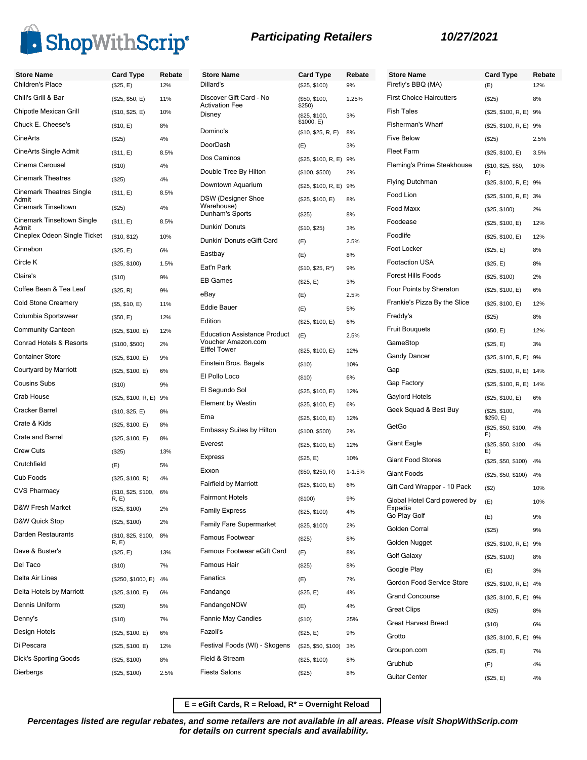

| <b>Store Name</b>                     | <b>Card Type</b>            | Rebate | <b>Store Name</b>                                         | <b>Card Type</b>        | Rebate     |
|---------------------------------------|-----------------------------|--------|-----------------------------------------------------------|-------------------------|------------|
| Children's Place                      | (\$25, E)                   | 12%    | Dillard's                                                 | (\$25, \$100)           | 9%         |
| Chili's Grill & Bar                   | (\$25, \$50, E)             | 11%    | Discover Gift Card - No<br><b>Activation Fee</b>          | (\$50, \$100,           | 1.25%      |
| Chipotle Mexican Grill                | (\$10, \$25, E)             | 10%    | Disney                                                    | \$250)<br>(\$25, \$100, | 3%         |
| Chuck E. Cheese's                     | (\$10, E)                   | 8%     | Domino's                                                  | \$1000, E)              | 8%         |
| CineArts                              | (\$25)                      | 4%     | DoorDash                                                  | (\$10, \$25, R, E)      |            |
| CineArts Single Admit                 | (\$11, E)                   | 8.5%   | Dos Caminos                                               | (E)                     | 3%         |
| Cinema Carousel                       | (\$10)                      | 4%     | Double Tree By Hilton                                     | (\$25, \$100, R, E) 9%  |            |
| <b>Cinemark Theatres</b>              | (\$25)                      | 4%     | Downtown Aquarium                                         | (\$100, \$500)          | 2%         |
| <b>Cinemark Theatres Single</b>       | (\$11, E)                   | 8.5%   |                                                           | (\$25, \$100, R, E) 9%  |            |
| Admit<br><b>Cinemark Tinseltown</b>   | (\$25)                      | 4%     | DSW (Designer Shoe<br>Warehouse)                          | (\$25, \$100, E)        | 8%         |
| <b>Cinemark Tinseltown Single</b>     | (\$11, E)                   | 8.5%   | Dunham's Sports                                           | (\$25)                  | 8%         |
| Admit<br>Cineplex Odeon Single Ticket | (\$10, \$12)                | 10%    | Dunkin' Donuts                                            | (\$10, \$25)            | 3%         |
| Cinnabon                              | (\$25, E)                   | 6%     | Dunkin' Donuts eGift Card                                 | (E)                     | 2.5%       |
| Circle K                              | (\$25, \$100)               | 1.5%   | Eastbay                                                   | (E)                     | 8%         |
| Claire's                              | (\$10)                      | 9%     | Eat'n Park                                                | $($10, $25, R^*)$       | 9%         |
| Coffee Bean & Tea Leaf                | (\$25, R)                   | 9%     | <b>EB Games</b>                                           | (\$25, E)               | 3%         |
| <b>Cold Stone Creamery</b>            | (\$5, \$10, E)              | 11%    | eBay                                                      | (E)                     | 2.5%       |
| Columbia Sportswear                   | (\$50, E)                   | 12%    | <b>Eddie Bauer</b>                                        | (E)                     | 5%         |
| <b>Community Canteen</b>              |                             | 12%    | Edition                                                   | (\$25, \$100, E)        | 6%         |
| <b>Conrad Hotels &amp; Resorts</b>    | (\$25, \$100, E)            | 2%     | <b>Education Assistance Product</b><br>Voucher Amazon.com | (E)                     | 2.5%       |
| <b>Container Store</b>                | (\$100, \$500)              |        | <b>Eiffel Tower</b>                                       | (\$25, \$100, E)        | 12%        |
| Courtyard by Marriott                 | (\$25, \$100, E)            | 9%     | Einstein Bros. Bagels                                     | (\$10)                  | 10%        |
| <b>Cousins Subs</b>                   | (\$25, \$100, E)            | 6%     | El Pollo Loco                                             | (\$10)                  | 6%         |
|                                       | (\$10)                      | 9%     | El Segundo Sol                                            | (\$25, \$100, E)        | 12%        |
| Crab House                            | (\$25, \$100, R, E) 9%      |        | <b>Element by Westin</b>                                  | (\$25, \$100, E)        | 6%         |
| Cracker Barrel                        | (\$10, \$25, E)             | 8%     | Ema                                                       | (\$25, \$100, E)        | 12%        |
| Crate & Kids                          | (\$25, \$100, E)            | 8%     | Embassy Suites by Hilton                                  | (\$100, \$500)          | 2%         |
| Crate and Barrel                      | (\$25, \$100, E)            | 8%     | Everest                                                   | (\$25, \$100, E)        | 12%        |
| <b>Crew Cuts</b>                      | (\$25)                      | 13%    | <b>Express</b>                                            | (\$25, E)               | 10%        |
| Crutchfield                           | (E)                         | 5%     | Exxon                                                     | (\$50, \$250, R)        | $1 - 1.5%$ |
| Cub Foods                             | (\$25, \$100, R)            | 4%     | <b>Fairfield by Marriott</b>                              | (\$25, \$100, E)        | 6%         |
| <b>CVS Pharmacy</b>                   | (\$10, \$25, \$100,<br>R, E | 6%     | <b>Fairmont Hotels</b>                                    | (\$100)                 | 9%         |
| D&W Fresh Market                      | (\$25, \$100)               | 2%     | <b>Family Express</b>                                     | (\$25, \$100)           | 4%         |
| D&W Quick Stop                        | (\$25, \$100)               | 2%     | <b>Family Fare Supermarket</b>                            | (\$25, \$100)           | 2%         |
| Darden Restaurants                    | (\$10, \$25, \$100,         | 8%     | Famous Footwear                                           | (\$25)                  | 8%         |
| Dave & Buster's                       | R, E<br>(\$25, E)           | 13%    | Famous Footwear eGift Card                                | (E)                     | 8%         |
| Del Taco                              | (\$10)                      | 7%     | Famous Hair                                               | (\$25)                  | 8%         |
| Delta Air Lines                       | (\$250, \$1000, E)          | 4%     | Fanatics                                                  | (E)                     | 7%         |
| Delta Hotels by Marriott              | (\$25, \$100, E)            | 6%     | Fandango                                                  | (\$25, E)               | 4%         |
| Dennis Uniform                        | (\$20)                      | 5%     | FandangoNOW                                               | (E)                     | 4%         |
| Denny's                               | (\$10)                      | 7%     | <b>Fannie May Candies</b>                                 | (\$10)                  | 25%        |
| Design Hotels                         | (\$25, \$100, E)            | 6%     | Fazoli's                                                  | (\$25, E)               | 9%         |
| Di Pescara                            | (\$25, \$100, E)            | 12%    | Festival Foods (WI) - Skogens                             | (\$25, \$50, \$100)     | 3%         |
| Dick's Sporting Goods                 | (\$25, \$100)               | 8%     | Field & Stream                                            | (\$25, \$100)           | 8%         |
| Dierbergs                             |                             | 2.5%   | Fiesta Salons                                             |                         | 8%         |
|                                       | (\$25, \$100)               |        |                                                           | (\$25)                  |            |

| <b>Participating Retailers</b> |  |
|--------------------------------|--|
|--------------------------------|--|

| Rebate     | <b>Store Name</b>               | Card Type                        | Rebate |
|------------|---------------------------------|----------------------------------|--------|
| 9%         | Firefly's BBQ (MA)              | (E)                              | 12%    |
| 1.25%      | <b>First Choice Haircutters</b> | (\$25)                           | 8%     |
| 3%         | <b>Fish Tales</b>               | (\$25, \$100, R, E)              | 9%     |
| 8%         | <b>Fisherman's Wharf</b>        | (\$25, \$100, R, E) 9%           |        |
| 3%         | <b>Five Below</b>               | $(\$25)$                         | 2.5%   |
| 9%         | <b>Fleet Farm</b>               | (\$25, \$100, E)                 | 3.5%   |
| 2%         | Fleming's Prime Steakhouse      | (\$10, \$25, \$50,<br>E)         | 10%    |
| 9%         | <b>Flying Dutchman</b>          | (\$25, \$100, R, E) 9%           |        |
| 8%         | Food Lion                       | (\$25, \$100, R, E)              | 3%     |
| 8%         | Food Maxx                       | (\$25, \$100)                    | 2%     |
| 3%         | Foodease                        | (\$25, \$100, E)                 | 12%    |
|            | Foodlife                        | (\$25, \$100, E)                 | 12%    |
| 2.5%<br>8% | Foot Locker                     | (\$25, E)                        | 8%     |
|            | <b>Footaction USA</b>           | (\$25, E)                        | 8%     |
| 9%<br>3%   | <b>Forest Hills Foods</b>       | (\$25, \$100)                    | 2%     |
| 2.5%       | Four Points by Sheraton         | (\$25, \$100, E)                 | 6%     |
|            | Frankie's Pizza By the Slice    | (\$25, \$100, E)                 | 12%    |
| 5%         | Freddy's                        | $(\$25)$                         | 8%     |
| 6%<br>2.5% | <b>Fruit Bouguets</b>           | (\$50, E)                        | 12%    |
|            | GameStop                        | (\$25, E)                        | 3%     |
| 12%        | <b>Gandy Dancer</b>             | (\$25, \$100, R, E) 9%           |        |
| 10%        | Gap                             | (\$25, \$100, R, E) 14%          |        |
| 6%         | Gap Factory                     | (\$25, \$100, R, E)              | 14%    |
| 12%        | Gaylord Hotels                  | (\$25, \$100, E)                 | 6%     |
| 6%         | Geek Squad & Best Buy           | (\$25, \$100,                    | 4%     |
| 12%<br>2%  | GetGo                           | \$250, E)<br>(\$25, \$50, \$100, | 4%     |
| 12%        | Giant Eagle                     | E)<br>(\$25, \$50, \$100,        | 4%     |
| 10%        | <b>Giant Food Stores</b>        | E)<br>(\$25, \$50, \$100)        | 4%     |
| 1-1.5%     | Giant Foods                     | (\$25, \$50, \$100)              | 4%     |
| 6%         | Gift Card Wrapper - 10 Pack     | (S2)                             | 10%    |
| 9%         | Global Hotel Card powered by    | (E)                              | 10%    |
| 4%         | Expedia<br>Go Play Golf         | (E)                              | 9%     |
| 2%         | Golden Corral                   | (\$25)                           | 9%     |
| 8%         | Golden Nugget                   | (\$25, \$100, R, E) 9%           |        |
| 8%         | Golf Galaxy                     | (\$25, \$100)                    | 8%     |
| 8%         | Google Play                     | (E)                              | 3%     |
| 7%         | Gordon Food Service Store       | (\$25, \$100, R, E) 4%           |        |
| 4%         | <b>Grand Concourse</b>          | (\$25, \$100, R, E) 9%           |        |
| 4%         | <b>Great Clips</b>              | (\$25)                           | 8%     |
| 25%        | <b>Great Harvest Bread</b>      | (\$10)                           | 6%     |
| 9%         | Grotto                          | (\$25, \$100, R, E) 9%           |        |
| 3%         | Groupon.com                     | (\$25, E)                        | 7%     |
| 8%         | Grubhub                         | (E)                              | 4%     |
| 8%         | Guitar Center                   | (\$25, E)                        | 4%     |

**E = eGift Cards, R = Reload, R\* = Overnight Reload**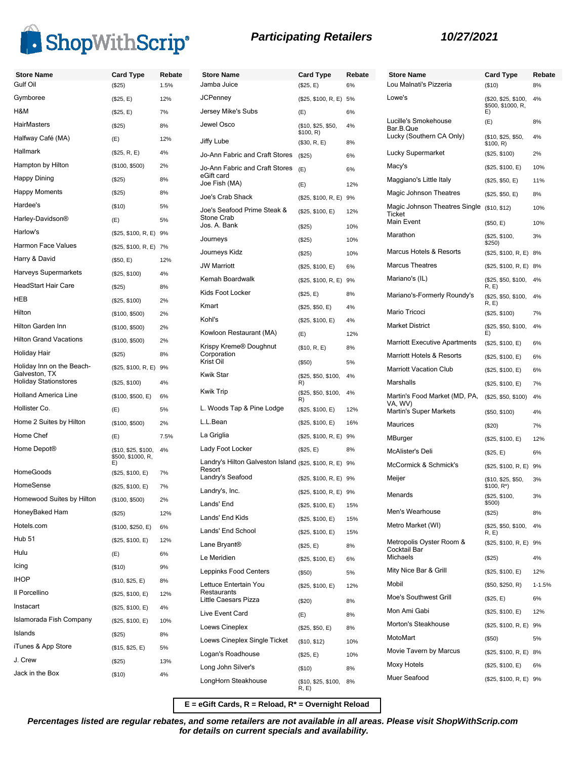

| <b>Store Name</b>                             | <b>Card Type</b>                               | Rebate |
|-----------------------------------------------|------------------------------------------------|--------|
| Gulf Oil                                      | (\$25)                                         | 1.5%   |
| Gymboree                                      | (\$25, E)                                      | 12%    |
| H&M                                           | (\$25, E)                                      | 7%     |
| HairMasters                                   | (S25)                                          | 8%     |
| Halfway Café (MA)                             | (E)                                            | 12%    |
| Hallmark                                      | (\$25, R, E)                                   | 4%     |
| Hampton by Hilton                             | (\$100, \$500)                                 | 2%     |
| Happy Dining                                  | (\$25)                                         | 8%     |
| Happy Moments                                 | (S25)                                          | 8%     |
| Hardee's                                      | $($ \$10)                                      | 5%     |
| Harley-Davidson®                              | (E)                                            | 5%     |
| Harlow's                                      | (\$25, \$100, R, E) 9%                         |        |
| Harmon Face Values                            | (\$25, \$100, R, E) 7%                         |        |
| Harry & David                                 | (\$50, E)                                      | 12%    |
| Harveys Supermarkets                          | (\$25, \$100)                                  | 4%     |
| HeadStart Hair Care                           | (S25)                                          | 8%     |
| HEB                                           | (\$25, \$100)                                  | 2%     |
| Hilton                                        | (\$100, \$500)                                 | 2%     |
| Hilton Garden Inn                             | (\$100, \$500)                                 | 2%     |
| <b>Hilton Grand Vacations</b>                 | (\$100, \$500)                                 | 2%     |
| Holiday Hair                                  | (S25)                                          | 8%     |
| Holiday Inn on the Beach-                     | (\$25, \$100, R, E)                            | 9%     |
| Galveston, TX<br><b>Holiday Stationstores</b> | (\$25, \$100)                                  | 4%     |
| <b>Holland America Line</b>                   | (\$100, \$500, E)                              | 6%     |
| Hollister Co.                                 | (E)                                            | 5%     |
| Home 2 Suites by Hilton                       | (\$100, \$500)                                 | 2%     |
| Home Chef                                     | (E)                                            | 7.5%   |
| Home Depot®                                   | (\$10, \$25, \$100,<br>\$500, \$1000, R,<br>E) | 4%     |
| HomeGoods                                     | (\$25, \$100, E)                               | 7%     |
| HomeSense                                     | (\$25, \$100, E)                               | 7%     |
| Homewood Suites by Hilton                     | (\$100, \$500)                                 | 2%     |
| HoneyBaked Ham                                | (\$25)                                         | 12%    |
| Hotels.com                                    | (\$100, \$250, E)                              | 6%     |
| Hub 51                                        | (\$25, \$100, E)                               | 12%    |
| Hulu                                          | (E)                                            | 6%     |
| Icing                                         | (\$10)                                         | 9%     |
| IHOP                                          | (\$10, \$25, E)                                | 8%     |
| Il Porcellino                                 | (\$25, \$100, E)                               | 12%    |
| Instacart                                     | (\$25, \$100, E)                               | 4%     |
| Islamorada Fish Company                       | (\$25, \$100, E)                               | 10%    |
| Islands                                       | (\$25)                                         | 8%     |
| iTunes & App Store                            | (\$15, \$25, E)                                | 5%     |
| J. Crew                                       | (\$25)                                         | 13%    |
| Jack in the Box                               | (\$10)                                         | 4%     |

| <b>Store Name</b>                                              | <b>Card Type</b>                | Rebate |
|----------------------------------------------------------------|---------------------------------|--------|
| Jamba Juice                                                    | (\$25, E)                       | 6%     |
| JCPenney                                                       | (\$25, \$100, R, E)             | 5%     |
| Jersey Mike's Subs                                             | (E)                             | 6%     |
| Jewel Osco                                                     | (\$10, \$25, \$50,<br>\$100, R) | 4%     |
| Jiffy Lube                                                     | (\$30, R, E)                    | 8%     |
| Jo-Ann Fabric and Craft Stores                                 | (\$25)                          | 6%     |
| Jo-Ann Fabric and Craft Stores<br>eGift card                   | (E)                             | 6%     |
| Joe Fish (MA)                                                  | (E)                             | 12%    |
| Joe's Crab Shack                                               | (\$25, \$100, R, E)             | 9%     |
| Joe's Seafood Prime Steak &<br><b>Stone Crab</b>               | (\$25, \$100, E)                | 12%    |
| Jos. A. Bank                                                   | (\$25)                          | 10%    |
| Journeys                                                       | (S25)                           | 10%    |
| Journeys Kidz                                                  | (\$25)                          | 10%    |
| <b>JW Marriott</b>                                             | (\$25, \$100, E)                | 6%     |
| Kemah Boardwalk                                                | (\$25, \$100, R, E)             | 9%     |
| Kids Foot Locker                                               | (\$25, E)                       | 8%     |
| Kmart                                                          | (\$25, \$50, E)                 | 4%     |
| Kohl's                                                         | (\$25, \$100, E)                | 4%     |
| Kowloon Restaurant (MA)                                        | (E)                             | 12%    |
| Krispy Kreme® Doughnut<br>Corporation                          | (\$10, R, E)                    | 8%     |
| Krist Oil                                                      | $($ \$50)                       | 5%     |
| <b>Kwik Star</b>                                               | (\$25, \$50, \$100,<br>R)       | 4%     |
| <b>Kwik Trip</b>                                               | (\$25, \$50, \$100,<br>R)       | 4%     |
| L. Woods Tap & Pine Lodge                                      | (\$25, \$100, E)                | 12%    |
| L.L.Bean                                                       | (\$25, \$100, E)                | 16%    |
| La Griglia                                                     | (\$25, \$100, R, E)             | 9%     |
| Lady Foot Locker                                               | (\$25, E)                       | 8%     |
| Landry's Hilton Galveston Island (\$25, \$100, R, E)<br>Resort |                                 | 9%     |
| Landry's Seafood                                               | (\$25, \$100, R, E)             | 9%     |
| Landry's, Inc.                                                 | (\$25, \$100, R, E)             | 9%     |
| Lands' End                                                     | (\$25, \$100, E)                | 15%    |
| Lands' End Kids                                                | (\$25, \$100, E)                | 15%    |
| Lands' End School                                              | (\$25, \$100, E)                | 15%    |

| <b>Store Name</b><br>Lou Malnati's Pizzeria          | <b>Card Type</b>                               | Rebate     |
|------------------------------------------------------|------------------------------------------------|------------|
|                                                      | (\$10)                                         | 8%         |
| Lowe's                                               | (\$20, \$25, \$100,<br>\$500, \$1000, R,<br>E) | 4%         |
| Lucille's Smokehouse<br>Bar.B.Que                    | (E)                                            | 8%         |
| Lucky (Southern CA Only)                             | (\$10, \$25, \$50,<br>\$100, R)                | 4%         |
| Lucky Supermarket                                    | (\$25, \$100)                                  | 2%         |
| Macy's                                               | (\$25, \$100, E)                               | 10%        |
| Maggiano's Little Italy                              | (\$25, \$50, E)                                | 11%        |
| Magic Johnson Theatres                               | (\$25, \$50, E)                                | 8%         |
| Magic Johnson Theatres Single<br>Ticket              | (\$10, \$12)                                   | 10%        |
| Main Event                                           | (\$50, E)                                      | 10%        |
| Marathon                                             | (\$25, \$100,<br>\$250)                        | 3%         |
| Marcus Hotels & Resorts                              | (\$25, \$100, R, E)                            | 8%         |
| <b>Marcus Theatres</b>                               | (\$25, \$100, R, E)                            | 8%         |
| Mariano's (IL)                                       | (\$25, \$50, \$100,<br>R, E                    | 4%         |
| Mariano's-Formerly Roundy's                          | (\$25, \$50, \$100,<br>R, E)                   | 4%         |
| Mario Tricoci                                        | (\$25, \$100)                                  | 7%         |
| <b>Market District</b>                               | (\$25, \$50, \$100,<br>E)                      | 4%         |
| <b>Marriott Executive Apartments</b>                 | (\$25, \$100, E)                               | 6%         |
| Marriott Hotels & Resorts                            | (\$25, \$100, E)                               | 6%         |
| <b>Marriott Vacation Club</b>                        | (\$25, \$100, E)                               | 6%         |
| Marshalls                                            | (\$25, \$100, E)                               | 7%         |
| Martin's Food Market (MD, PA,<br>VA, WV)             | (\$25, \$50, \$100)                            | 4%         |
| Martin's Super Markets                               | (\$50, \$100)                                  | 4%         |
| Maurices                                             | $(\$20)$                                       | 7%         |
| MBurger                                              | (\$25, \$100, E)                               | 12%        |
| <b>McAlister's Deli</b>                              | (\$25, E)                                      | 6%         |
| McCormick & Schmick's                                | (\$25, \$100, R, E)                            | 9%         |
| Meijer                                               | (\$10, \$25, \$50,<br>\$100, R*)               | 3%         |
| Menards                                              | (\$25, \$100,<br>\$500)                        | 3%         |
| Men's Wearhouse                                      | (\$25)                                         | 8%         |
| Metro Market (WI)                                    | (\$25, \$50, \$100,<br>R, E                    | 4%         |
| Metropolis Oyster Room &<br>Cocktail Bar<br>Michaels | (\$25, \$100, R, E) 9%<br>(\$25)               | 4%         |
| Mity Nice Bar & Grill                                | (\$25, \$100, E)                               | 12%        |
| Mobil                                                | (\$50, \$250, R)                               | $1 - 1.5%$ |
| Moe's Southwest Grill                                | (\$25, E)                                      | 6%         |
| Mon Ami Gabi                                         | (\$25, \$100, E)                               |            |
| Morton's Steakhouse                                  |                                                | 12%        |
| MotoMart                                             | (\$25, \$100, R, E) 9%                         |            |
| Movie Tavern by Marcus                               | (\$50)                                         | 5%         |
|                                                      | (\$25, \$100, R, E) 8%                         |            |
| Moxy Hotels                                          | (\$25, \$100, E)                               | 6%         |
| Muer Seafood                                         | (\$25, \$100, R, E) 9%                         |            |

**E = eGift Cards, R = Reload, R\* = Overnight Reload**

R, E)

Lane Bryant® (\$25, E) 8% Le Meridien (\$25, \$100, E) 6% Leppinks Food Centers (\$50) 5%

Little Caesars Pizza (\$20) 8% Live Event Card (E) 8% Loews Cineplex (\$25, \$50, E) 8% Loews Cineplex Single Ticket (\$10, \$12) 10% Logan's Roadhouse (\$25, E) 10% Long John Silver's (\$10) 8%

(\$25, \$100, E) 12%

(\$10, \$25, \$100, 8%

Lettuce Entertain You Restaurants

LongHorn Steakhouse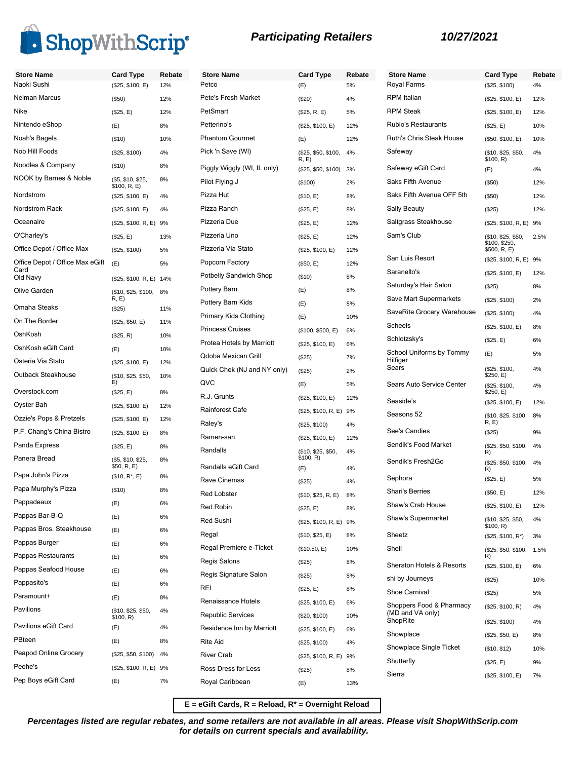

| <b>Store Name</b>                       | <b>Card Type</b>                  | Rebate | <b>Store Name</b>           | <b>Card Type</b>            | Rebate | <b>Store Name</b>                    | <b>Card Type</b>                    | Rebate |
|-----------------------------------------|-----------------------------------|--------|-----------------------------|-----------------------------|--------|--------------------------------------|-------------------------------------|--------|
| Naoki Sushi                             | (\$25, \$100, E)                  | 12%    | Petco                       | (E)                         | 5%     | Royal Farms                          | (\$25, \$100)                       | 4%     |
| Neiman Marcus                           | (\$50)                            | 12%    | Pete's Fresh Market         | (\$20)                      | 4%     | <b>RPM</b> Italian                   | (\$25, \$100, E)                    | 12%    |
| Nike                                    | (\$25, E)                         | 12%    | PetSmart                    | (\$25, R, E)                | 5%     | <b>RPM Steak</b>                     | (\$25, \$100, E)                    | 12%    |
| Nintendo eShop                          | (E)                               | 8%     | Petterino's                 | (\$25, \$100, E)            | 12%    | Rubio's Restaurants                  | (\$25, E)                           | 10%    |
| Noah's Bagels                           | (\$10)                            | 10%    | <b>Phantom Gourmet</b>      | (E)                         | 12%    | <b>Ruth's Chris Steak House</b>      | (\$50, \$100, E)                    | 10%    |
| Nob Hill Foods                          | (\$25, \$100)                     | 4%     | Pick 'n Save (WI)           | (\$25, \$50, \$100,<br>R, E | 4%     | Safeway                              | (\$10, \$25, \$50,<br>\$100, R)     | 4%     |
| Noodles & Company                       | (\$10)                            | 8%     | Piggly Wiggly (WI, IL only) | (\$25, \$50, \$100)         | 3%     | Safeway eGift Card                   | (E)                                 | 4%     |
| NOOK by Barnes & Noble                  | (\$5, \$10, \$25,<br>\$100, R, E) | 8%     | Pilot Flying J              | (\$100)                     | 2%     | Saks Fifth Avenue                    | (\$50)                              | 12%    |
| Nordstrom                               | (\$25, \$100, E)                  | 4%     | Pizza Hut                   | (\$10, E)                   | 8%     | Saks Fifth Avenue OFF 5th            | (\$50)                              | 12%    |
| Nordstrom Rack                          | (\$25, \$100, E)                  | 4%     | Pizza Ranch                 | (\$25, E)                   | 8%     | Sally Beauty                         | (\$25)                              | 12%    |
| Oceanaire                               | (\$25, \$100, R, E) 9%            |        | Pizzeria Due                | (\$25, E)                   | 12%    | Saltgrass Steakhouse                 | (\$25, \$100, R, E) 9%              |        |
| O'Charley's                             | (\$25, E)                         | 13%    | Pizzeria Uno                | (\$25, E)                   | 12%    | Sam's Club                           | (\$10, \$25, \$50,<br>\$100, \$250, | 2.5%   |
| Office Depot / Office Max               | (\$25, \$100)                     | 5%     | Pizzeria Via Stato          | (\$25, \$100, E)            | 12%    |                                      | \$500, R, E)                        |        |
| Office Depot / Office Max eGift<br>Card | (E)                               | 5%     | Popcorn Factory             | (\$50, E)                   | 12%    | San Luis Resort                      | (\$25, \$100, R, E) 9%              |        |
| Old Navy                                | (\$25, \$100, R, E) 14%           |        | Potbelly Sandwich Shop      | (\$10)                      | 8%     | Saranello's                          | (\$25, \$100, E)                    | 12%    |
| Olive Garden                            | (\$10, \$25, \$100,               | 8%     | Pottery Barn                | (E)                         | 8%     | Saturday's Hair Salon                | (\$25)                              | 8%     |
| Omaha Steaks                            | R, E<br>(\$25)                    | 11%    | Pottery Barn Kids           | (E)                         | 8%     | Save Mart Supermarkets               | (\$25, \$100)                       | 2%     |
| On The Border                           | (\$25, \$50, E)                   | 11%    | Primary Kids Clothing       | (E)                         | 10%    | SaveRite Grocery Warehouse           | (\$25, \$100)                       | 4%     |
| OshKosh                                 | (\$25, R)                         | 10%    | <b>Princess Cruises</b>     | (\$100, \$500, E)           | 6%     | Scheels                              | (\$25, \$100, E)                    | 8%     |
| OshKosh eGift Card                      | (E)                               | 10%    | Protea Hotels by Marriott   | (\$25, \$100, E)            | 6%     | Schlotzsky's                         | (\$25, E)                           | 6%     |
| Osteria Via Stato                       | (\$25, \$100, E)                  | 12%    | Qdoba Mexican Grill         | (\$25)                      | 7%     | School Uniforms by Tommy<br>Hilfiger | (E)                                 | 5%     |
| Outback Steakhouse                      | (\$10, \$25, \$50,                | 10%    | Quick Chek (NJ and NY only) | (\$25)                      | 2%     | Sears                                | (\$25, \$100,<br>\$250, E)          | 4%     |
| Overstock.com                           | E)                                |        | QVC                         | (E)                         | 5%     | Sears Auto Service Center            | (\$25, \$100,<br>\$250, E)          | 4%     |
| Oyster Bah                              | (\$25, E)                         | 8%     | R.J. Grunts                 | (\$25, \$100, E)            | 12%    | Seaside's                            | (\$25, \$100, E)                    | 12%    |
| Ozzie's Pops & Pretzels                 | (\$25, \$100, E)                  | 12%    | Rainforest Cafe             | (\$25, \$100, R, E) 9%      |        | Seasons 52                           | (\$10, \$25, \$100,                 | 8%     |
|                                         | (\$25, \$100, E)                  | 12%    | Raley's                     | (\$25, \$100)               | 4%     | See's Candies                        | R, E)                               |        |
| P.F. Chang's China Bistro               | (\$25, \$100, E)                  | 8%     | Ramen-san                   | (\$25, \$100, E)            | 12%    | Sendik's Food Market                 | (\$25)                              | 9%     |
| Panda Express                           | (\$25, E)                         | 8%     | Randalls                    | (\$10, \$25, \$50,          | 4%     |                                      | (\$25, \$50, \$100,<br>R)           | 4%     |
| Panera Bread                            | (\$5, \$10, \$25,<br>\$50, R, E)  | 8%     | Randalls eGift Card         | \$100, R)<br>(E)            | 4%     | Sendik's Fresh2Go                    | (\$25, \$50, \$100,<br>R)           | 4%     |
| Papa John's Pizza                       | $($10, R^*, E)$                   | 8%     | Rave Cinemas                | (\$25)                      | 4%     | Sephora                              | (\$25, E)                           | 5%     |
| Papa Murphy's Pizza                     | (\$10)                            | 8%     | <b>Red Lobster</b>          | (\$10, \$25, R, E) 8%       |        | <b>Shari's Berries</b>               | (\$50, E)                           | 12%    |
| Pappadeaux                              | (E)                               | 6%     | <b>Red Robin</b>            | (\$25, E)                   | 8%     | Shaw's Crab House                    | (\$25, \$100, E)                    | 12%    |
| Pappas Bar-B-Q                          | (E)                               | 6%     | Red Sushi                   | (\$25, \$100, R, E) 9%      |        | Shaw's Supermarket                   | (\$10, \$25, \$50,<br>\$100, R)     | 4%     |
| Pappas Bros. Steakhouse                 | (E)                               | 6%     | Regal                       | (\$10, \$25, E)             | 8%     | Sheetz                               | $($25, $100, R^*)$                  | 3%     |
| Pappas Burger                           | (E)                               | 6%     | Regal Premiere e-Ticket     | (\$10.50, E)                | 10%    | Shell                                | (\$25, \$50, \$100,                 | 1.5%   |
| Pappas Restaurants                      | (E)                               | 6%     | Regis Salons                | (\$25)                      | 8%     | Sheraton Hotels & Resorts            | R)<br>(\$25, \$100, E)              | 6%     |
| Pappas Seafood House                    | (E)                               | 6%     | Regis Signature Salon       | (\$25)                      | 8%     | shi by Journeys                      | (\$25)                              | 10%    |
| Pappasito's                             | (E)                               | 6%     | REI                         | (\$25, E)                   | 8%     | Shoe Carnival                        | (\$25)                              | 5%     |
| Paramount+                              | (E)                               | 8%     | Renaissance Hotels          | (\$25, \$100, E)            | 6%     | Shoppers Food & Pharmacy             | (\$25, \$100, R)                    | 4%     |
| Pavilions                               | (\$10, \$25, \$50,<br>\$100, R)   | 4%     | <b>Republic Services</b>    | (\$20, \$100)               | 10%    | (MD and VA only)<br>ShopRite         |                                     |        |
| Pavilions eGift Card                    | (E)                               | 4%     | Residence Inn by Marriott   | (\$25, \$100, E)            | 6%     |                                      | (\$25, \$100)                       | 4%     |
| PBteen                                  | (E)                               | 8%     | <b>Rite Aid</b>             | (\$25, \$100)               | 4%     | Showplace                            | (\$25, \$50, E)                     | 8%     |
| Peapod Online Grocery                   | (\$25, \$50, \$100)               | 4%     | River Crab                  | (\$25, \$100, R, E) 9%      |        | Showplace Single Ticket              | (\$10, \$12)                        | 10%    |
| Peohe's                                 | (\$25, \$100, R, E) 9%            |        | Ross Dress for Less         | (\$25)                      | 8%     | Shutterfly                           | (\$25, E)                           | 9%     |
| Pep Boys eGift Card                     | (E)                               | 7%     | Royal Caribbean             | (E)                         | 13%    | Sierra                               | (\$25, \$100, E)                    | 7%     |
|                                         |                                   |        |                             |                             |        |                                      |                                     |        |

**E = eGift Cards, R = Reload, R\* = Overnight Reload**